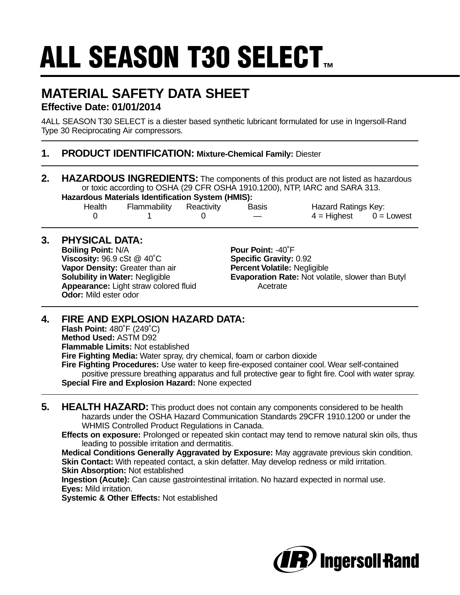# **ALL SEASON T30 SELECT...**

## **MATERIAL SAFETY DATA SHEET Effective Date: 01/01/2014**

4ALL SEASON T30 SELECT is a diester based synthetic lubricant formulated for use in Ingersoll-Rand Type 30 Reciprocating Air compressors.

#### **1. PRODUCT IDENTIFICATION: Mixture-Chemical Family:** Diester

**2. HAZARDOUS INGREDIENTS:** The components of this product are not listed as hazardous or toxic according to OSHA (29 CFR OSHA 1910.1200), NTP, IARC and SARA 313. **Hazardous Materials Identification System (HMIS):**

| Zaruvus materiais luentinivativit Oysteni (miniv). |                         |  |       |                          |  |
|----------------------------------------------------|-------------------------|--|-------|--------------------------|--|
| Health                                             | Flammability Reactivity |  | Basis | Hazard Ratings Key:      |  |
|                                                    |                         |  |       | $4 =$ Highest 0 = Lowest |  |

### **3. PHYSICAL DATA:**

**Boiling Point:** N/A **Pour Point:** -40°F **Viscosity:** 96.9 cSt @ 40˚C **Specific Gravity:** 0.92 **Vapor Density:** Greater than air **Percent Volatile: Negligible**<br> **Solubility in Water: Negligible <b>Proper Preprendice Evaporation Rate: Not vola Appearance:** Light straw colored fluid **Acetrate** Acetrate **Odor:** Mild ester odor

**Evaporation Rate: Not volatile, slower than Butyl** 

## **4. FIRE AND EXPLOSION HAZARD DATA:**

**Flash Point:** 480˚F (249˚C) **Method Used:** ASTM D92 **Flammable Limits:** Not established **Fire Fighting Media:** Water spray, dry chemical, foam or carbon dioxide **Fire Fighting Procedures:** Use water to keep fire-exposed container cool. Wear self-contained positive pressure breathing apparatus and full protective gear to fight fire. Cool with water spray. **Special Fire and Explosion Hazard:** None expected

- **5. HEALTH HAZARD:** This product does not contain any components considered to be health hazards under the OSHA Hazard Communication Standards 29CFR 1910.1200 or under the WHMIS Controlled Product Regulations in Canada.
	- **Effects on exposure:** Prolonged or repeated skin contact may tend to remove natural skin oils, thus leading to possible irritation and dermatitis.

**Medical Conditions Generally Aggravated by Exposure:** May aggravate previous skin condition. **Skin Contact:** With repeated contact, a skin defatter. May develop redness or mild irritation. **Skin Absorption:** Not established

**Ingestion (Acute):** Can cause gastrointestinal irritation. No hazard expected in normal use. **Eyes:** Mild irritation.

**Systemic & Other Effects:** Not established